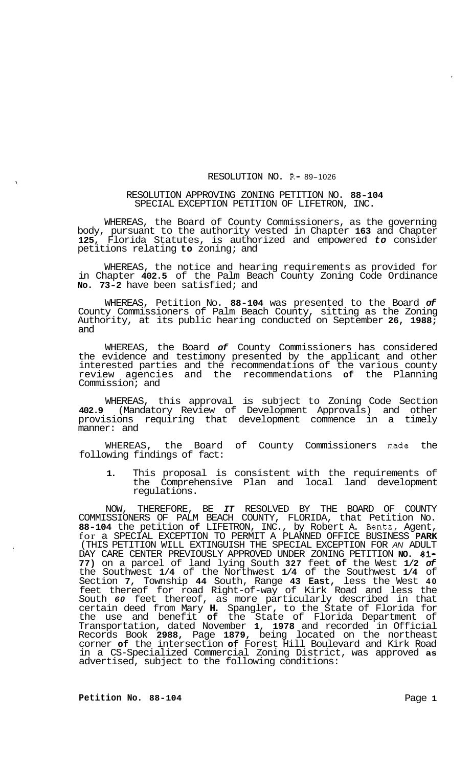## RESOLUTION NO. R- 89-1026

## RESOLUTION APPROVING ZONING PETITION NO. **88-104**  SPECIAL EXCEPTION PETITION OF LIFETRON, INC.

WHEREAS, the Board of County Commissioners, as the governing body, pursuant to the authority vested in Chapter **163** and Chapter **125,** Florida Statutes, is authorized and empowered *to* consider petitions relating **to** zoning; and

WHEREAS, the notice and hearing requirements as provided for in Chapter **402.5** of the Palm Beach County Zoning Code Ordinance **No. 73-2** have been satisfied; and

WHEREAS, Petition No. **88-104** was presented to the Board *of*  County Commissioners of Palm Beach County, sitting as the Zoning Authority, at its public hearing conducted on September **26, 1988;**  and

WHEREAS, the Board *of* County Commissioners has considered the evidence and testimony presented by the applicant and other interested parties and the recommendations of the various county review agencies and the recommendations **of** the Planning Commission; and

WHEREAS, this approval is subject to Zoning Code Section **402.9** (Mandatory Review of Development Approvals) and other provisions requiring that development commence in a timely manner: and

WHEREAS, the Board of County Commissioners made the following findings of fact:

**1.** This proposal is consistent with the requirements of the Comprehensive Plan and local land development regulations.

NOW, THEREFORE, BE *IT* RESOLVED BY THE BOARD OF COUNTY COMMISSIONERS OF PALM BEACH COUNTY, FLORIDA, that Petition No. **88-104** the petition **of** LIFETRON, INC., by Robert A. Bentz, Agent, for a SPECIAL EXCEPTION TO PERMIT A PLANNED OFFICE BUSINESS **PARK**  (THIS PETITION WILL EXTINGUISH THE SPECIAL EXCEPTION FOR *AN* ADULT DAY CARE CENTER PREVIOUSLY APPROVED UNDER ZONING PETITION **NO. 81-77)** on a parcel of land lying South **327** feet **of** the West **1/2** *of*  the Southwest **1/4** of the Northwest **1/4** of the Southwest **1/4** of Section **7,** Township **44** South, Range **43 East,** less the West **40**  feet thereof for road Right-of-way of Kirk Road and less the South *60* feet thereof, as more particularly described in that certain deed from Mary **H.** Spangler, to the State of Florida for the use and benefit **of** the State of Florida Department of Transportation, dated November **1, 1978** and recorded in Official Records Book **2988,** Page **1879,** being located on the northeast corner **of** the intersection **of** Forest Hill Boulevard and Kirk Road in a CS-Specialized Commercial Zoning District, was approved **as**  advertised, subject to the following conditions: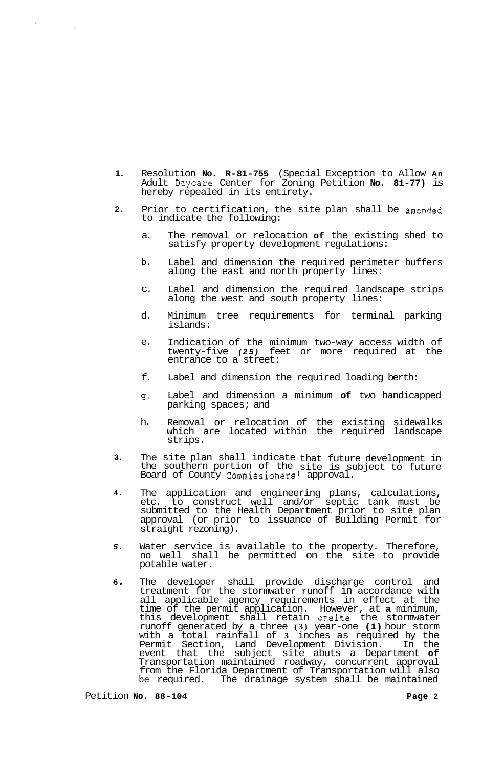- **1.**  Resolution **No. R-81-755** (Special Exception to Allow **An**  Adult Daycare Center for Zoning Petition **No. 81-77)** is hereby repealed in its entirety.
- **2.**  Prior to certification, the site plan shall be amended to indicate the following:
	- a. The removal or relocation **of** the existing shed to satisfy property development regulations:
	- b. Label and dimension the required perimeter buffers along the east and north property lines:
	- $C<sub>c</sub>$ Label and dimension the required landscape strips along the west and south property lines:
	- d. Minimum tree requirements for terminal parking islands:
	- e. Indication of the minimum two-way access width of twenty-five *(25)* feet or more required at the entrance to a street:
	- f. Label and dimension the required loading berth:
	- g-Label and dimension a minimum **of** two handicapped parking spaces; and
	- h. Removal or relocation of the existing sidewalks which are located within the required landscape strips.
- **3.**  The site plan shall indicate that future development in the southern portion of the site is subject to future Board of County Commissioners' approval.
- **4.**  The application and engineering plans, calculations, etc. to construct well and/or septic tank must be submitted to the Health Department prior to site plan approval (or prior to issuance of Building Permit for straight rezoning).
- *5.*  Water service is available to the property. Therefore, no well shall be permitted on the site to provide potable water.
- **6.**  The developer shall provide discharge control and treatment for the stormwater runoff in accordance with all applicable agency requirements in effect at the time of the permit application. However, at **a** minimum, this development shall retain onsite the stormwater runoff generated by a three **(3)** year-one **(1)** hour storm with a total rainfall of **3** inches as required by the Permit Section, Land Development Division. In the event that the subject site abuts a Department **of**  Transportation maintained roadway, concurrent approval from the Florida Department of Transportation will also be required. The drainage system shall be maintained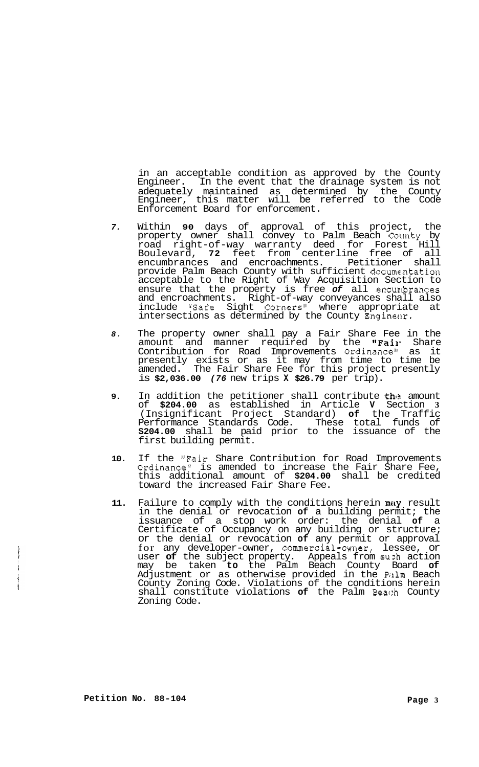in an acceptable condition as approved by the County Engineer. In the event that the drainage system is not adequately maintained as determined by the County Engineer, this matter will be referred to the Code Enforcement Board for enforcement.

- *7.* Within **90** days of approval of this project, the property owner shall convey to Palm Beach County by road right-of-way warranty deed for Forest Hill Boulevard, **72** feet from centerline free of all encumbrances and encroachments. Petitioner shall provide Palm Beach County with sufficient docume.ntation acceptable to the Right of Way Acquisition Section to ensure that the property is free of all encumbrances and encroachments. Right-of-way conveyances shall also include "Safe Sight Corners" where appropriate at intersections as determined by the County Engineer.
- *8.* The property owner shall pay a Fair Share Fee in the amount and manner required by the "Fair Share Contribution for Road Improvements Ordinancell as it presently exists or as it may from time to time be amended. The Fair Share Fee for this project presently is **\$2,036.00** *(76* new trips **X \$26.79** per trip).
- **9.** In addition the petitioner shall contribute the amount of **\$204.00** as established in Article **V** Section **3**  (Insignificant Project Standard) **of** the Traffic Performance Standards Code. These total funds of **\$204.00** shall be paid prior to the issuance of the first building permit.
- **10.** If the "Fair Share Contribution for Road Improvements Ordinance" is amended to increase the Fair Share Fee, this additional amount of **\$204.00** shall be credited toward the increased Fair Share Fee.
- 11. Failure to comply with the conditions herein may result in the denial or revocation **of** a building permit; the issuance of a stop work order: the denial **of** a Certificate of Occupancy on any building or structure; or the denial or revocation **of** any permit or approval for any developer-owner, commercial-owner, lessee, or user **of** the subject property. Appeals from **suzh** action may be taken **to** the Palm Beach County Board **of**  Adjustment or as otherwise provided in the Palm Beach County Zoning Code. Violations of the conditions herein shall constitute violations **of** the Palm Beac:h County Zoning Code.

 $\mathbf{i}$ ţ